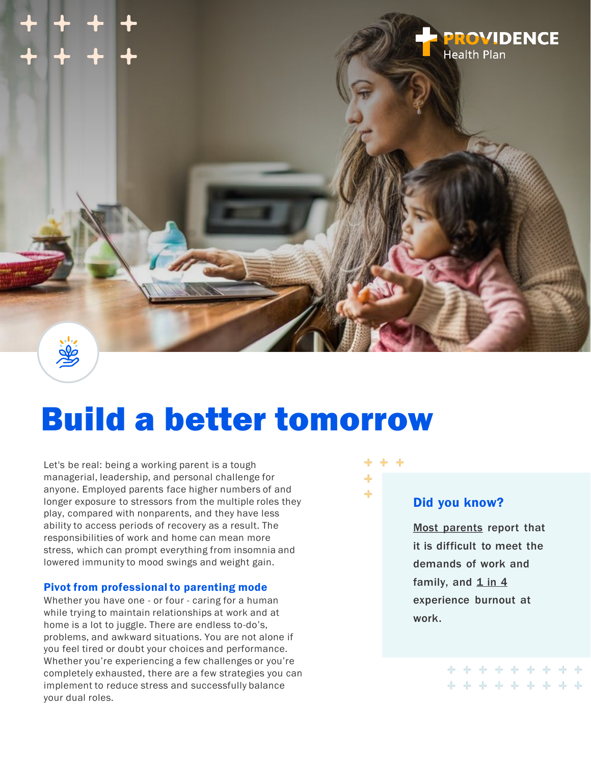

# Build a better tomorrow

Let's be real: being a working parent is a tough managerial, leadership, and personal challenge for anyone. Employed parents face higher numbers of and longer exposure to stressors from the multiple roles they play, compared with nonparents, and they have less ability to access periods of recovery as a result. The responsibilities of work and home can mean more stress, which can prompt everything from insomnia and lowered immunity to mood swings and weight gain.

#### Pivot from professional to parenting mode

Whether you have one - or four - caring for a human while trying to maintain relationships at work and at home is a lot to juggle. There are endless to-do's, problems, and awkward situations. You are not alone if you feel tired or doubt your choices and performance. Whether you're experiencing a few challenges or you're completely exhausted, there are a few strategies you can implement to reduce stress and successfully balance your dual roles.



### Did you know?

[Most parents](https://www.pewresearch.org/wp-content/uploads/sites/3/2015/11/2015-11-04_working-parents_FINAL.pdf) report that it is difficult to meet the demands of work and family, and  $1$  in  $4$ experience burnout at work.

> \* \* \* \* \* \* \* \* \*\*\*\*\*\*\*\*\*